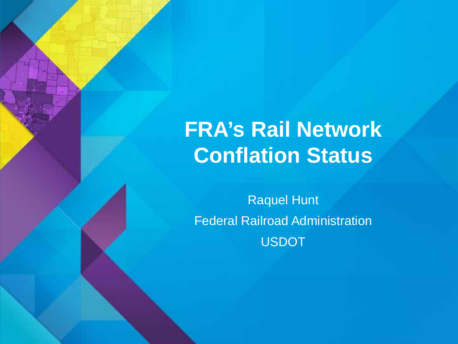# **FRA's Rail Network Conflation Status**

Raquel Hunt Federal Railroad Administration USDOT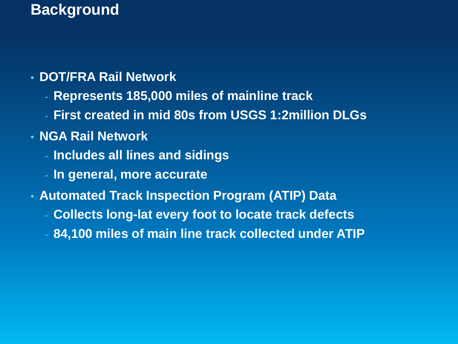#### **Background**

#### • **DOT/FRA Rail Network**

- **Represents 185,000 miles of mainline track**
- **First created in mid 80s from USGS 1:2million DLGs**

#### • **NGA Rail Network**

- **Includes all lines and sidings**
- **In general, more accurate**
- **Automated Track Inspection Program (ATIP) Data**
	- **Collects long-lat every foot to locate track defects**
	- **84,100 miles of main line track collected under ATIP**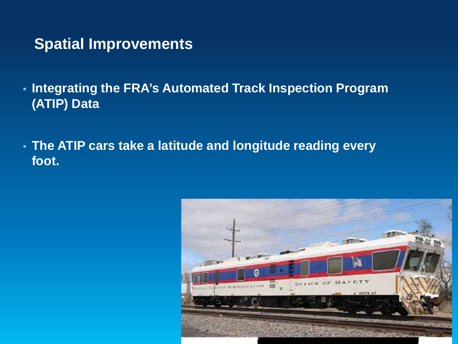#### **Spatial Improvements**

- **Integrating the FRA's Automated Track Inspection Program (ATIP) Data**
- **The ATIP cars take a latitude and longitude reading every foot.**

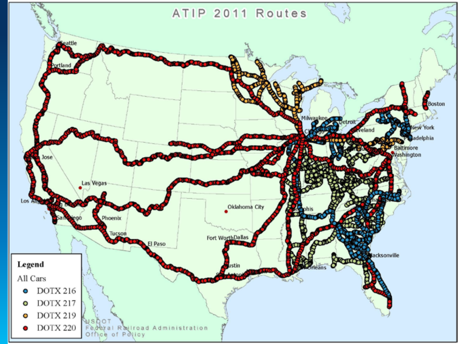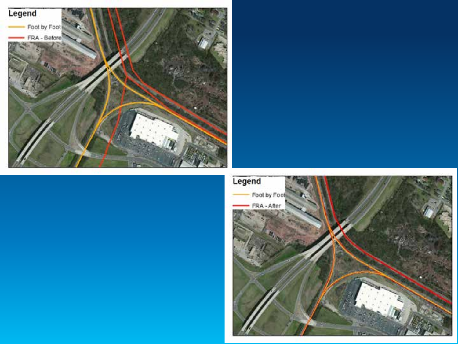

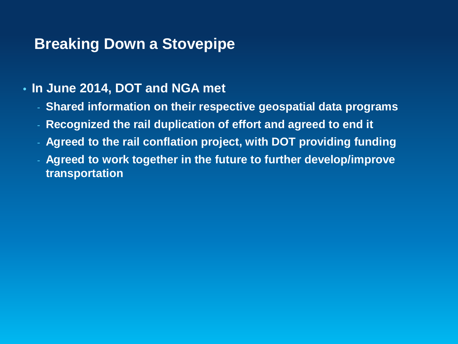#### **Breaking Down a Stovepipe**

- **In June 2014, DOT and NGA met**
	- **Shared information on their respective geospatial data programs**
	- **Recognized the rail duplication of effort and agreed to end it**
	- **Agreed to the rail conflation project, with DOT providing funding**
	- **Agreed to work together in the future to further develop/improve transportation**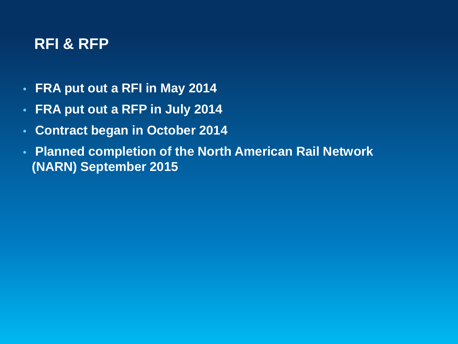#### **RFI & RFP**

- **FRA put out a RFI in May 2014**
- **FRA put out a RFP in July 2014**
- **Contract began in October 2014**
- **Planned completion of the North American Rail Network (NARN) September 2015**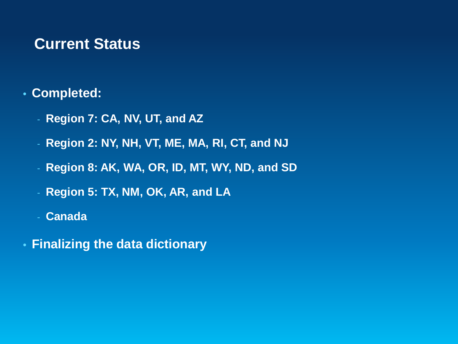#### **Current Status**

#### • **Completed:**

- **Region 7: CA, NV, UT, and AZ**
- **Region 2: NY, NH, VT, ME, MA, RI, CT, and NJ**
- **Region 8: AK, WA, OR, ID, MT, WY, ND, and SD**
- **Region 5: TX, NM, OK, AR, and LA**
- **Canada**
- **Finalizing the data dictionary**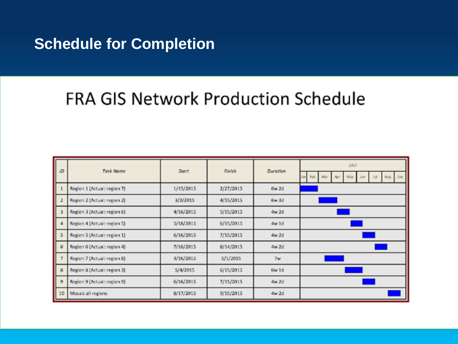#### **Schedule for Completion**

## FRA GIS Network Production Schedule

| <b>JD</b> | <b>Task Name</b>            | Start     | Finish    | Duration       | 2015                   |
|-----------|-----------------------------|-----------|-----------|----------------|------------------------|
|           |                             |           |           |                | Feb Mar<br>May<br>Ass. |
|           | Region 1 (Actual: region 7) | 1/15/2015 | 2/27/2015 | $6w$ 2d        |                        |
|           | Region 2 (Actual: region 2) | 3/2/2015  | 4/15/2015 | $6w$ 3d        |                        |
|           | Region 3 (Actual: region 6) | 4/16/2015 | 5/15/2015 | 4w 2d          |                        |
| 4         | Region 4 (Actual: region 5) | 5/18/2015 | 6/15/2015 | 4w1d           |                        |
| 5         | Region 5 (Actual: region 1) | 6/16/2015 | 7/15/2015 | $4w$ 2d        |                        |
| 6         | Region 6 (Actual: region 4) | 7/16/2015 | 8/14/2015 | 4w 2d          |                        |
|           | Region 7 (Actual: region 8) | 3/16/2015 | 5/1/2015  | 7 <sub>w</sub> |                        |
| 8         | Region 8 (Actual: region 3) | 5/4/2015  | 6/15/2015 | 6w 1d          |                        |
| 9         | Region 9 (Actual: region 9) | 6/16/2015 | 7/15/2015 | 4w 2d          |                        |
| 10        | Mosaic all regions          | 8/17/2015 | 9/15/2015 | 4w 2d          |                        |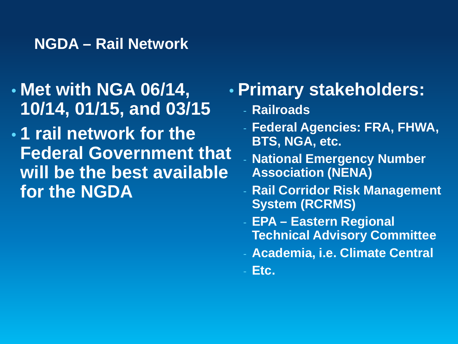#### **NGDA – Rail Network**

- **Met with NGA 06/14, 10/14, 01/15, and 03/15**
- **1 rail network for the Federal Government that will be the best available for the NGDA**

## • **Primary stakeholders:**

- **Railroads**
- **Federal Agencies: FRA, FHWA, BTS, NGA, etc.**
- **National Emergency Number Association (NENA)**
- **Rail Corridor Risk Management System (RCRMS)**
- **EPA – Eastern Regional Technical Advisory Committee**
- **Academia, i.e. Climate Central**
- **Etc.**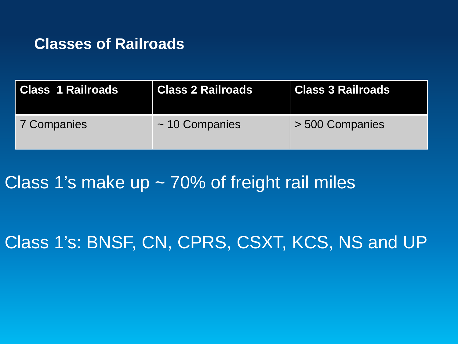#### **Classes of Railroads**

| Class 1 Railroads | Class 2 Railroads   | <b>Class 3 Railroads</b> |
|-------------------|---------------------|--------------------------|
| 7 Companies       | $\sim$ 10 Companies | > 500 Companies          |

Class 1's make up ~ 70% of freight rail miles

## Class 1's: BNSF, CN, CPRS, CSXT, KCS, NS and UP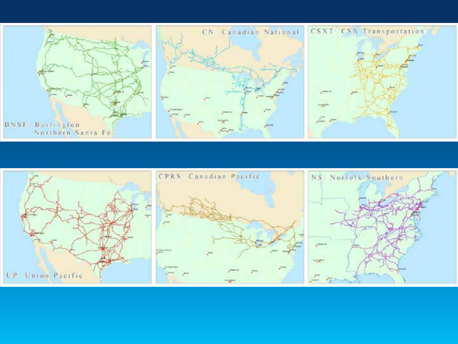

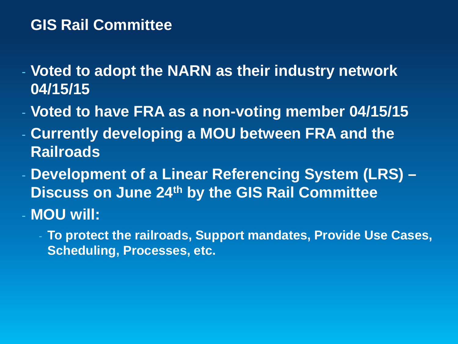#### **GIS Rail Committee**

- **Voted to adopt the NARN as their industry network 04/15/15**
- **Voted to have FRA as a non-voting member 04/15/15**
- **Currently developing a MOU between FRA and the Railroads**
- **Development of a Linear Referencing System (LRS) – Discuss on June 24th by the GIS Rail Committee** - **MOU will:**
	- **To protect the railroads, Support mandates, Provide Use Cases, Scheduling, Processes, etc.**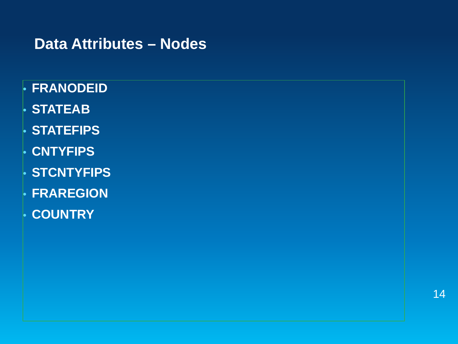### **Data Attributes – Nodes**

- **FRANODEID**
- **STATEAB**
- **STATEFIPS**
- **CNTYFIPS**
- **STCNTYFIPS**
- **FRAREGION**
- **COUNTRY**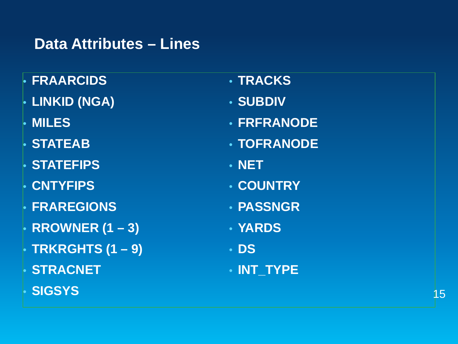#### **Data Attributes – Lines**

- **FRAARCIDS**
- **LINKID (NGA)**
- **MILES**
- **STATEAB**
- **STATEFIPS**
- **CNTYFIPS**
- **FRAREGIONS**
- **RROWNER (1 – 3)**
- **TRKRGHTS (1 – 9)**
- **STRACNET**
- **SIGSYS**
- **TRACKS**
- **SUBDIV**
- **FRFRANODE**
- **TOFRANODE**
- **NET**
- **COUNTRY**
- **PASSNGR**
- **YARDS**
- **DS**
- **INT\_TYPE**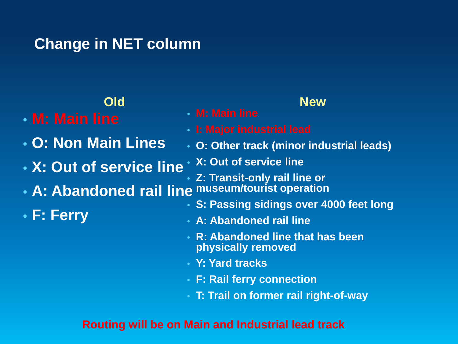## **Change in NET column**

#### **Old**

- **M: Main line**
- **O: Non Main Lines**
- **X: Out of service line**
- **A: Abandoned rail line museum/tourist operation**
- **F: Ferry**
- 
- 
- **O: Other track (minor industrial leads)**

**New**

- **X: Out of service line**
- **Z: Transit-only rail line or**
- **S: Passing sidings over 4000 feet long**
- **A: Abandoned rail line**
- **R: Abandoned line that has been physically removed**
- **Y: Yard tracks**
- **F: Rail ferry connection**
- **T: Trail on former rail right-of-way**

#### **Routing will be on Main and Industrial lead track**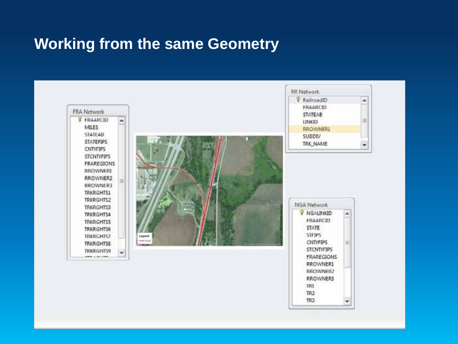#### **Working from the same Geometry**

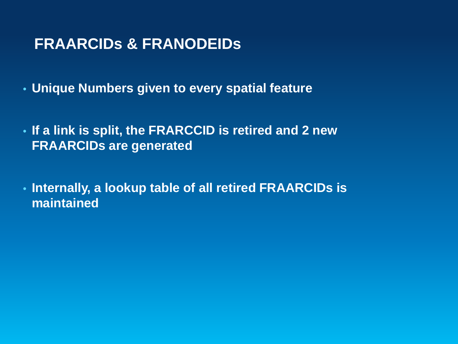### **FRAARCIDs & FRANODEIDs**

- **Unique Numbers given to every spatial feature**
- **If a link is split, the FRARCCID is retired and 2 new FRAARCIDs are generated**
- **Internally, a lookup table of all retired FRAARCIDs is maintained**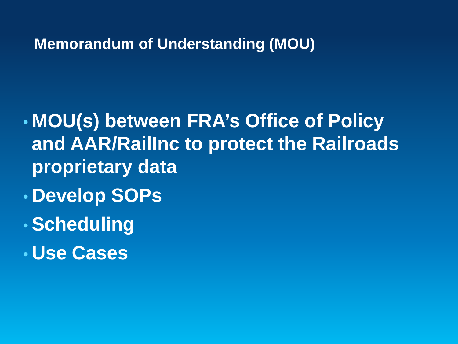#### **Memorandum of Understanding (MOU)**

- **MOU(s) between FRA's Office of Policy and AAR/RailInc to protect the Railroads proprietary data**
- **Develop SOPs**
- **Scheduling**
- **Use Cases**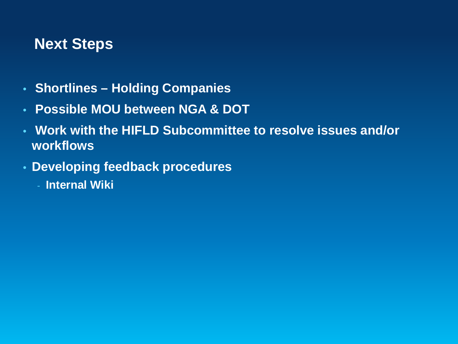### **Next Steps**

- **Shortlines – Holding Companies**
- **Possible MOU between NGA & DOT**
- **Work with the HIFLD Subcommittee to resolve issues and/or workflows**
- **Developing feedback procedures**
	- **Internal Wiki**